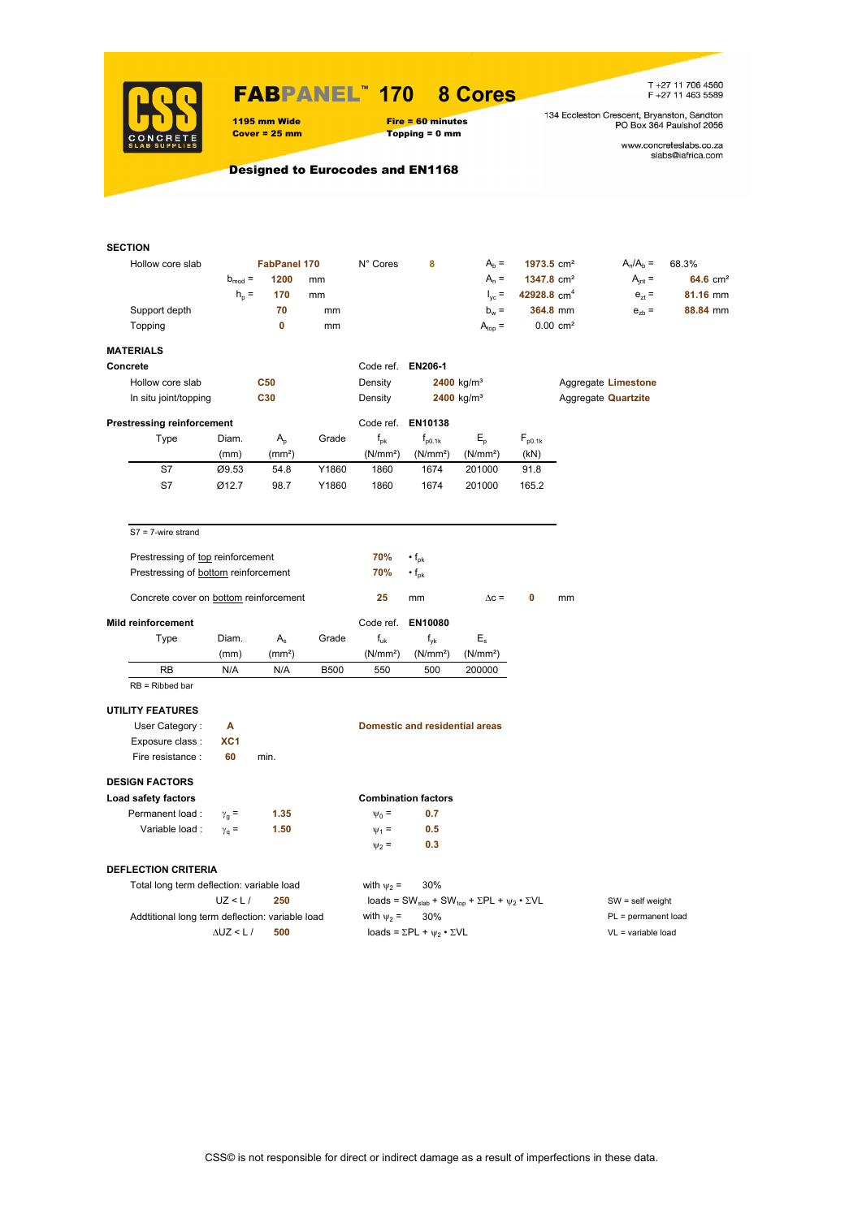

## FABPANEL**™ 170 8 Cores**

1195 mm Wide Fire = 60 minutes<br>
Cover = 25 mm Topping = 0 mm

# $Topping = 0$  mm

T +27 11 706 4560<br>F +27 11 463 5589

134 Eccleston Crescent, Bryanston, Sandton<br>PO Box 364 Paulshof 2056

www.concreteslabs.co.za<br>slabs@iafrica.com

Designed to Eurocodes and EN1168

| <b>SECTION</b>                                  |                    |                     |             |                      |                                                |                                                                                         |                        |                        |                            |                      |  |  |
|-------------------------------------------------|--------------------|---------------------|-------------|----------------------|------------------------------------------------|-----------------------------------------------------------------------------------------|------------------------|------------------------|----------------------------|----------------------|--|--|
| Hollow core slab                                |                    | <b>FabPanel 170</b> |             | N° Cores             | 8                                              | $Ab =$                                                                                  | 1973.5 cm <sup>2</sup> |                        | $A_n/A_b =$                | 68.3%                |  |  |
|                                                 | $b_{mod} =$        | 1200                | mm          |                      |                                                | $A_n =$                                                                                 | 1347.8 cm <sup>2</sup> |                        | $A_{int} =$                | 64.6 cm <sup>2</sup> |  |  |
|                                                 | $h_{\rm p} =$      | 170                 | mm          |                      |                                                | $I_{\text{vc}}$ =                                                                       | 42928.8 $cm4$          |                        | $e_{7}$ =                  | 81.16 mm             |  |  |
| Support depth                                   |                    | 70                  | mm          |                      |                                                | $b_w =$                                                                                 |                        | 364.8 mm               | $e_{zb}$ =                 | 88.84 mm             |  |  |
| Topping                                         |                    | $\mathbf 0$         | mm          |                      |                                                | $A_{\text{top}} =$                                                                      |                        | $0.00$ cm <sup>2</sup> |                            |                      |  |  |
|                                                 |                    |                     |             |                      |                                                |                                                                                         |                        |                        |                            |                      |  |  |
| <b>MATERIALS</b>                                |                    |                     |             |                      |                                                |                                                                                         |                        |                        |                            |                      |  |  |
| Concrete                                        |                    |                     |             | Code ref. EN206-1    |                                                |                                                                                         |                        |                        |                            |                      |  |  |
| Hollow core slab                                |                    | <b>C50</b>          |             | Density              |                                                | $2400$ kg/m <sup>3</sup>                                                                |                        |                        | Aggregate Limestone        |                      |  |  |
| In situ joint/topping                           |                    | C30                 |             | Density              |                                                | 2400 kg/m <sup>3</sup>                                                                  |                        |                        | Aggregate <b>Quartzite</b> |                      |  |  |
| <b>Prestressing reinforcement</b>               |                    |                     |             |                      | Code ref. EN10138                              |                                                                                         |                        |                        |                            |                      |  |  |
| Type                                            | Diam.              | $A_{p}$             | Grade       | $f_{\rm pk}$         | $f_{p0.1k}$                                    | $E_{\rm p}$                                                                             | $F_{p0.1k}$            |                        |                            |                      |  |  |
|                                                 | (mm)               | (mm <sup>2</sup> )  |             | (N/mm <sup>2</sup> ) | (N/mm <sup>2</sup> )                           | (N/mm <sup>2</sup> )                                                                    | (kN)                   |                        |                            |                      |  |  |
| S7                                              | Ø9.53              | 54.8                | Y1860       | 1860                 | 1674                                           | 201000                                                                                  | 91.8                   |                        |                            |                      |  |  |
| S7                                              | Ø12.7              | 98.7                | Y1860       | 1860                 | 1674                                           | 201000                                                                                  | 165.2                  |                        |                            |                      |  |  |
|                                                 |                    |                     |             |                      |                                                |                                                                                         |                        |                        |                            |                      |  |  |
| $S7 = 7$ -wire strand                           |                    |                     |             |                      |                                                |                                                                                         |                        |                        |                            |                      |  |  |
|                                                 |                    |                     |             |                      |                                                |                                                                                         |                        |                        |                            |                      |  |  |
| Prestressing of top reinforcement               |                    |                     |             | 70%                  | $\cdot f_{\rm pk}$                             |                                                                                         |                        |                        |                            |                      |  |  |
| Prestressing of bottom reinforcement            |                    |                     |             | 70%                  | $\cdot$ f <sub>pk</sub>                        |                                                                                         |                        |                        |                            |                      |  |  |
| Concrete cover on bottom reinforcement          |                    |                     |             | 25                   | mm                                             | $\Delta c =$                                                                            | 0                      | mm                     |                            |                      |  |  |
| <b>Mild reinforcement</b>                       |                    |                     |             | Code ref.            | EN10080                                        |                                                                                         |                        |                        |                            |                      |  |  |
| Type                                            | Diam.              | $A_{s}$             | Grade       | $f_{uk}$             | $f_{\nu k}$                                    | $E_{\rm s}$                                                                             |                        |                        |                            |                      |  |  |
|                                                 | (mm)               | (mm <sup>2</sup> )  |             | (N/mm <sup>2</sup> ) | (N/mm <sup>2</sup> )                           | (N/mm <sup>2</sup> )                                                                    |                        |                        |                            |                      |  |  |
| RB                                              | N/A                | N/A                 | <b>B500</b> | 550                  | 500                                            | 200000                                                                                  |                        |                        |                            |                      |  |  |
| $RB = Ribbed bar$                               |                    |                     |             |                      |                                                |                                                                                         |                        |                        |                            |                      |  |  |
|                                                 |                    |                     |             |                      |                                                |                                                                                         |                        |                        |                            |                      |  |  |
| <b>UTILITY FEATURES</b>                         |                    |                     |             |                      |                                                |                                                                                         |                        |                        |                            |                      |  |  |
| User Category:                                  | Α                  |                     |             |                      | <b>Domestic and residential areas</b>          |                                                                                         |                        |                        |                            |                      |  |  |
| Exposure class :                                | XC1                |                     |             |                      |                                                |                                                                                         |                        |                        |                            |                      |  |  |
| Fire resistance :                               | 60                 | min.                |             |                      |                                                |                                                                                         |                        |                        |                            |                      |  |  |
| <b>DESIGN FACTORS</b>                           |                    |                     |             |                      |                                                |                                                                                         |                        |                        |                            |                      |  |  |
| Load safety factors                             |                    |                     |             |                      | <b>Combination factors</b>                     |                                                                                         |                        |                        |                            |                      |  |  |
| Permanent load :                                | $\gamma_{\rm g} =$ | 1.35                |             | $\Psi_0 =$           | 0.7                                            |                                                                                         |                        |                        |                            |                      |  |  |
| Variable load :                                 | $\gamma_{q} =$     | 1.50                |             | $\Psi_1$ =           | 0.5                                            |                                                                                         |                        |                        |                            |                      |  |  |
|                                                 |                    |                     |             | $\Psi_2 =$           | 0.3                                            |                                                                                         |                        |                        |                            |                      |  |  |
| <b>DEFLECTION CRITERIA</b>                      |                    |                     |             |                      |                                                |                                                                                         |                        |                        |                            |                      |  |  |
| Total long term deflection: variable load       |                    |                     |             | with $\psi_2$ =      | 30%                                            |                                                                                         |                        |                        |                            |                      |  |  |
|                                                 | UZ < L/            | 250                 |             |                      |                                                | loads = SW <sub>slab</sub> + SW <sub>top</sub> + $\Sigma$ PL + $\psi_2 \cdot \Sigma$ VL |                        | $SW = self weight$     |                            |                      |  |  |
| Addtitional long term deflection: variable load |                    |                     |             | with $\psi_2$ =      | 30%                                            |                                                                                         |                        | PL = permanent load    |                            |                      |  |  |
|                                                 | $\Delta$ UZ < L /  | 500                 |             |                      | loads = $\Sigma$ PL + $\psi_2 \cdot \Sigma$ VL |                                                                                         |                        |                        | $VL = variable load$       |                      |  |  |
|                                                 |                    |                     |             |                      |                                                |                                                                                         |                        |                        |                            |                      |  |  |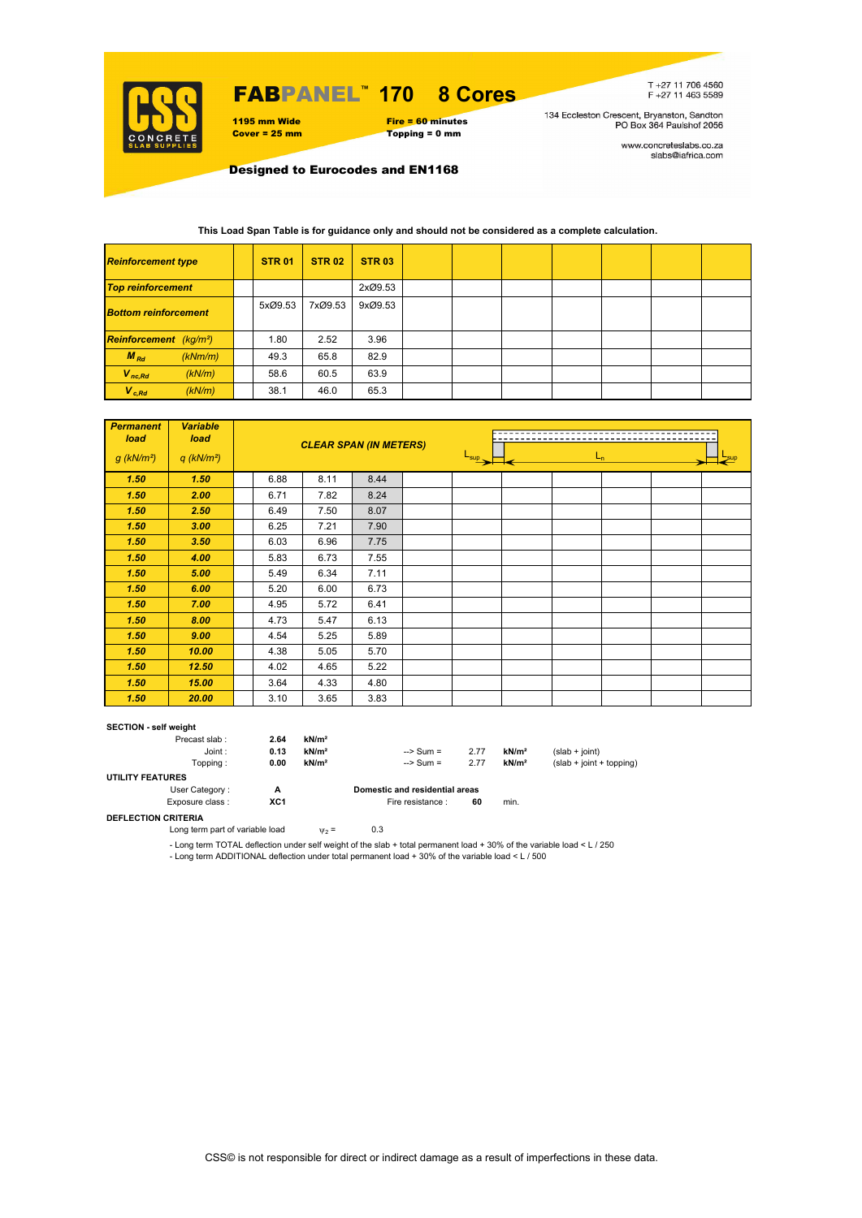

# FABPANEL**™ 170 8 Cores**

1195 mm Wide Fire = 60 minutes<br>
Cover = 25 mm Topping = 0 mm  $Topping = 0$  mm

T+27 11 706 4560<br>F+27 11 463 5589

134 Eccleston Crescent, Bryanston, Sandton<br>PO Box 364 Paulshof 2056

www.concreteslabs.co.za<br>slabs@iafrica.com

Designed to Eurocodes and EN1168

| <b>Reinforcement type</b>          |         | <b>STR 01</b> | <b>STR 02</b> | <b>STR 03</b> |  |  |  |  |
|------------------------------------|---------|---------------|---------------|---------------|--|--|--|--|
| <b>Top reinforcement</b>           |         |               |               | 2xØ9.53       |  |  |  |  |
| <b>Bottom reinforcement</b>        |         | 5xØ9.53       | 7xØ9.53       | 9xØ9.53       |  |  |  |  |
| Reinforcement (kg/m <sup>2</sup> ) |         | 1.80          | 2.52          | 3.96          |  |  |  |  |
| $M_{Rd}$                           | (kNm/m) | 49.3          | 65.8          | 82.9          |  |  |  |  |
| $V_{nc,Rd}$                        | (kN/m)  | 58.6          | 60.5          | 63.9          |  |  |  |  |
| $V_{c, Rd}$                        | (kN/m)  | 38.1          | 46.0          | 65.3          |  |  |  |  |

## **This Load Span Table is for guidance only and should not be considered as a complete calculation.**

| <b>Permanent</b><br>load<br>$g$ (kN/m <sup>2</sup> ) | <b>Variable</b><br>load<br>$q$ (kN/m <sup>2</sup> ) |      | <b>CLEAR SPAN (IN METERS)</b> |      | $L_{\text{sup}}$<br>$L_{n}$<br>$\equiv$ sup |  |  |  |  |  |  |  |
|------------------------------------------------------|-----------------------------------------------------|------|-------------------------------|------|---------------------------------------------|--|--|--|--|--|--|--|
| 1.50                                                 | 1.50                                                | 6.88 | 8.11                          | 8.44 |                                             |  |  |  |  |  |  |  |
| 1.50                                                 | 2.00                                                | 6.71 | 7.82                          | 8.24 |                                             |  |  |  |  |  |  |  |
| 1.50                                                 | 2.50                                                | 6.49 | 7.50                          | 8.07 |                                             |  |  |  |  |  |  |  |
| 1.50                                                 | 3.00                                                | 6.25 | 7.21                          | 7.90 |                                             |  |  |  |  |  |  |  |
| 1.50                                                 | 3.50                                                | 6.03 | 6.96                          | 7.75 |                                             |  |  |  |  |  |  |  |
| 1.50                                                 | 4.00                                                | 5.83 | 6.73                          | 7.55 |                                             |  |  |  |  |  |  |  |
| 1.50                                                 | 5.00                                                | 5.49 | 6.34                          | 7.11 |                                             |  |  |  |  |  |  |  |
| 1.50                                                 | 6.00                                                | 5.20 | 6.00                          | 6.73 |                                             |  |  |  |  |  |  |  |
| 1.50                                                 | 7.00                                                | 4.95 | 5.72                          | 6.41 |                                             |  |  |  |  |  |  |  |
| 1.50                                                 | 8.00                                                | 4.73 | 5.47                          | 6.13 |                                             |  |  |  |  |  |  |  |
| 1.50                                                 | 9.00                                                | 4.54 | 5.25                          | 5.89 |                                             |  |  |  |  |  |  |  |
| 1.50                                                 | 10.00                                               | 4.38 | 5.05                          | 5.70 |                                             |  |  |  |  |  |  |  |
| 1.50                                                 | 12.50                                               | 4.02 | 4.65                          | 5.22 |                                             |  |  |  |  |  |  |  |
| 1.50                                                 | 15.00                                               | 3.64 | 4.33                          | 4.80 |                                             |  |  |  |  |  |  |  |
| 1.50                                                 | 20.00                                               | 3.10 | 3.65                          | 3.83 |                                             |  |  |  |  |  |  |  |

### **SECTION - self weight**

| Precast slab:           | 2.64 | kN/m <sup>2</sup> |                                |      |                   |                            |
|-------------------------|------|-------------------|--------------------------------|------|-------------------|----------------------------|
| Joint:                  | 0.13 | kN/m <sup>2</sup> | $\Rightarrow$ Sum =            | 2.77 | kN/m <sup>2</sup> | $(slab + joint)$           |
| Topping:                | 0.00 | kN/m <sup>2</sup> | $\Rightarrow$ Sum =            | 2.77 | kN/m <sup>2</sup> | $(slab + joint + topping)$ |
| <b>UTILITY FEATURES</b> |      |                   |                                |      |                   |                            |
| User Category:          | А    |                   | Domestic and residential areas |      |                   |                            |
| Exposure class:         | XC1  |                   | Fire resistance :              | 60   | min.              |                            |
| ______________          |      |                   |                                |      |                   |                            |

#### **DEFLECTION CRITERIA**

Long term part of variable load  $v_2 = 0.3$ 

- Long term TOTAL deflection under self weight of the slab + total permanent load + 30% of the variable load < L / 250

- Long term ADDITIONAL deflection under total permanent load + 30% of the variable load < L / 500